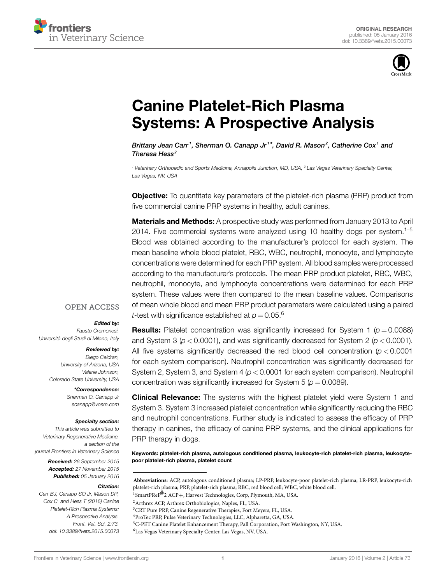



# **[Canine Platelet-Rich Plasma](http://www.frontiersin.org/Journal/10.3389/fvets.2015.00073/abstract) [Systems: A Prospective Analysis](http://www.frontiersin.org/Journal/10.3389/fvets.2015.00073/abstract)**

*Brittany [Jean Carr](http://loop.frontiersin.org/people/279135/overview)<sup>1</sup>, [Sherman O. Canapp Jr](http://loop.frontiersin.org/people/276986/overview)<sup>1\*</sup>, David R. Mason<sup>2</sup>, [Catherine Cox](http://loop.frontiersin.org/people/279152/overview)<sup>1</sup> and [Theresa Hess](http://loop.frontiersin.org/people/299331/overview) <sup>2</sup>*

*<sup>1</sup> Veterinary Orthopedic and Sports Medicine, Annapolis Junction, MD, USA, <sup>2</sup> Las Vegas Veterinary Specialty Center, Las Vegas, NV, USA*

**Objective:** To quantitate key parameters of the platelet-rich plasma (PRP) product from five commercial canine PRP systems in healthy, adult canines.

**Materials and Methods:** A prospective study was performed from January 2013 to April 2014. Five commercial systems were analyzed using 10 healthy dogs per system.<sup>1–5</sup> Blood was obtained according to the manufacturer's protocol for each system. The mean baseline whole blood platelet, RBC, WBC, neutrophil, monocyte, and lymphocyte concentrations were determined for each PRP system. All blood samples were processed according to the manufacturer's protocols. The mean PRP product platelet, RBC, WBC, neutrophil, monocyte, and lymphocyte concentrations were determined for each PRP system. These values were then compared to the mean baseline values. Comparisons of mean whole blood and mean PRP product parameters were calculated using a paired *t*-test with significance established at  $p = 0.05$ .<sup>6</sup>

#### **OPEN ACCESS**

#### *Edited by:*

*Fausto Cremonesi, Università degli Studi di Milano, Italy*

#### *Reviewed by:*

*Diego Celdran, University of Arizona, USA Valerie Johnson, Colorado State University, USA*

> *\*Correspondence: Sherman O. Canapp Jr [scanapp@vosm.com](mailto:scanapp@vosm.com)*

#### *Specialty section:*

*This article was submitted to Veterinary Regenerative Medicine, a section of the journal Frontiers in Veterinary Science*

> *Received: 26 September 2015 Accepted: 27 November 2015 Published: 05 January 2016*

#### *Citation:*

*Carr BJ, Canapp SO Jr, Mason DR, Cox C and Hess T (2016) Canine Platelet-Rich Plasma Systems: A Prospective Analysis. Front. Vet. Sci. 2:73. doi: [10.3389/fvets.2015.00073](http://dx.doi.org/10.3389/fvets.2015.00073)*

**Results:** Platelet concentration was significantly increased for System 1 ( $p = 0.0088$ ) and System 3 (*p <* 0.0001), and was significantly decreased for System 2 (*p <* 0.0001). All five systems significantly decreased the red blood cell concentration (*p <* 0.0001 for each system comparison). Neutrophil concentration was significantly decreased for System 2, System 3, and System 4 (*p <* 0.0001 for each system comparison). Neutrophil concentration was significantly increased for System 5 ( $p = 0.0089$ ).

**Clinical Relevance:** The systems with the highest platelet yield were System 1 and System 3. System 3 increased platelet concentration while significantly reducing the RBC and neutrophil concentrations. Further study is indicated to assess the efficacy of PRP therapy in canines, the efficacy of canine PRP systems, and the clinical applications for PRP therapy in dogs.

**Keywords: platelet-rich plasma, autologous conditioned plasma, leukocyte-rich platelet-rich plasma, leukocytepoor platelet-rich plasma, platelet count**

**Abbreviations:** ACP, autologous conditioned plasma; LP-PRP, leukocyte-poor platelet-rich plasma; LR-PRP, leukocyte-rich platelet-rich plasma; PRP, platelet-rich plasma; RBC, red blood cell; WBC, white blood cell.

<sup>1</sup>SmartPReP<sup>®</sup>2 ACP+, Harvest Technologies, Corp, Plymouth, MA, USA.

<sup>2</sup>Arthrex ACP, Arthrex Orthobiologics, Naples, FL, USA.

<sup>6</sup>Las Vegas Veterinary Specialty Center, Las Vegas, NV, USA.

<sup>3</sup>CRT Pure PRP, Canine Regenerative Therapies, Fort Meyers, FL, USA.

<sup>4</sup>ProTec PRP, Pulse Veterinary Technologies, LLC, Alpharetta, GA, USA.

<sup>5</sup>C-PET Canine Platelet Enhancement Therapy, Pall Corporation, Port Washington, NY, USA.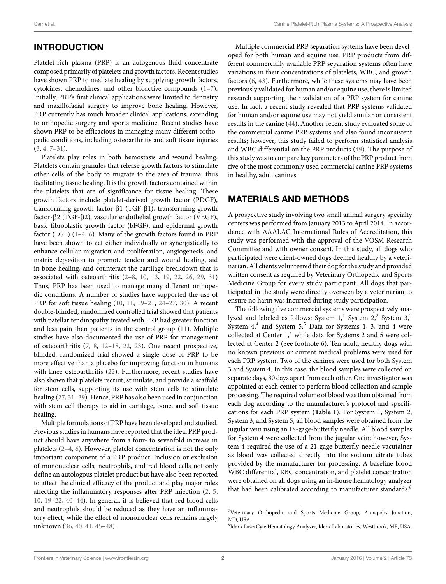# **INTRODUCTION**

Platelet-rich plasma (PRP) is an autogenous fluid concentrate composed primarily of platelets and growth factors. Recent studies have shown PRP to mediate healing by supplying growth factors, cytokines, chemokines, and other bioactive compounds [\(1](#page-6-0)–[7](#page-6-1)). Initially, PRP's first clinical applications were limited to dentistry and maxillofacial surgery to improve bone healing. However, PRP currently has much broader clinical applications, extending to orthopedic surgery and sports medicine. Recent studies have shown PRP to be efficacious in managing many different orthopedic conditions, including osteoarthritis and soft tissue injuries  $(3, 4, 7-31)$  $(3, 4, 7-31)$  $(3, 4, 7-31)$  $(3, 4, 7-31)$  $(3, 4, 7-31)$ .

Platelets play roles in both hemostasis and wound healing. Platelets contain granules that release growth factors to stimulate other cells of the body to migrate to the area of trauma, thus facilitating tissue healing. It is the growth factors contained within the platelets that are of significance for tissue healing. These growth factors include platelet-derived growth factor (PDGF), transforming growth factor-β1 (TGF-β1), transforming growth factor-β2 (TGF-β2), vascular endothelial growth factor (VEGF), basic fibroblastic growth factor (bFGF), and epidermal growth factor (EGF)([1](#page-6-0)[–4,](#page-6-3) [6](#page-6-5)). Many of the growth factors found in PRP have been shown to act either individually or synergistically to enhance cellular migration and proliferation, angiogenesis, and matrix deposition to promote tendon and wound healing, aid in bone healing, and counteract the cartilage breakdown that is associated with osteoarthritis([2](#page-6-6)[–8,](#page-6-7) [10,](#page-6-8) [13](#page-6-9), [19](#page-6-10), [22,](#page-6-11) [26](#page-6-12), [29](#page-6-13), [31\)](#page-6-4) Thus, PRP has been used to manage many different orthopedic conditions. A number of studies have supported the use of PRP for soft tissue healing([10,](#page-6-8) [11](#page-6-14), [19](#page-6-10)[–21](#page-6-15), [24–](#page-6-16)[27,](#page-6-17) [30](#page-6-18)). A recent double-blinded, randomized controlled trial showed that patients with patellar tendinopathy treated with PRP had greater function and less pain than patients in the control group([11\)](#page-6-14). Multiple studies have also documented the use of PRP for management of osteoarthritis [\(7,](#page-6-1) [8](#page-6-7), [12](#page-6-19)[–18](#page-6-20), [22,](#page-6-11) [23\)](#page-6-21). One recent prospective, blinded, randomized trial showed a single dose of PRP to be more effective than a placebo for improving function in humans with knee osteoarthritis [\(22\)](#page-6-11). Furthermore, recent studies have also shown that platelets recruit, stimulate, and provide a scaffold for stem cells, supporting its use with stem cells to stimulate healing([27,](#page-6-17) [31](#page-6-4)[–39\)](#page-7-0). Hence, PRP has also been used in conjunction with stem cell therapy to aid in cartilage, bone, and soft tissue healing.

Multiple formulations of PRP have been developed and studied. Previous studies in humans have reported that the ideal PRP product should have anywhere from a four- to sevenfold increase in platelets([2](#page-6-6)[–4,](#page-6-3) [6\)](#page-6-5). However, platelet concentration is not the only important component of a PRP product. Inclusion or exclusion of mononuclear cells, neutrophils, and red blood cells not only define an autologous platelet product but have also been reported to affect the clinical efficacy of the product and play major roles affecting the inflammatory responses after PRP injection [\(2,](#page-6-6) [5,](#page-6-22) [10](#page-6-8), [19–](#page-6-10)[22,](#page-6-11) [40–](#page-7-1)[44](#page-7-2)). In general, it is believed that red blood cells and neutrophils should be reduced as they have an inflammatory effect, while the effect of mononuclear cells remains largely unknown [\(36](#page-6-23), [40](#page-7-1), [41,](#page-7-3) [45](#page-7-4)[–48](#page-7-5)).

Multiple commercial PRP separation systems have been developed for both human and equine use. PRP products from different commercially available PRP separation systems often have variations in their concentrations of platelets, WBC, and growth factors([6,](#page-6-5) [43](#page-7-6)). Furthermore, while these systems may have been previously validated for human and/or equine use, there is limited research supporting their validation of a PRP system for canine use. In fact, a recent study revealed that PRP systems validated for human and/or equine use may not yield similar or consistent results in the canine([44\)](#page-7-2). Another recent study evaluated some of the commercial canine PRP systems and also found inconsistent results; however, this study failed to perform statistical analysis and WBC differential on the PRP products([49\)](#page-7-7). The purpose of this study was to compare key parameters of the PRP product from five of the most commonly used commercial canine PRP systems in healthy, adult canines.

## **MATERIALS AND METHODS**

A prospective study involving two small animal surgery specialty centers was performed from January 2013 to April 2014. In accordance with AAALAC International Rules of Accreditation, this study was performed with the approval of the VOSM Research Committee and with owner consent. In this study, all dogs who participated were client-owned dogs deemed healthy by a veterinarian. All clients volunteered their dog for the study and provided written consent as required by Veterinary Orthopedic and Sports Medicine Group for every study participant. All dogs that participated in the study were directly overseen by a veterinarian to ensure no harm was incurred during study participation.

The following five commercial systems were prospectively analyzed and labeled as follows: System  $1,^1$  System  $2,^2$  System  $3,^3$ System  $4,4$  and System 5.<sup>5</sup> Data for Systems 1, 3, and 4 were collected at Center  $1$ ,<sup>[7](#page-1-0)</sup> while data for Systems 2 and 5 were collected at Center 2 (See footnote 6). Ten adult, healthy dogs with no known previous or current medical problems were used for each PRP system. Two of the canines were used for both System 3 and System 4. In this case, the blood samples were collected on separate days, 30 days apart from each other. One investigator was appointed at each center to perform blood collection and sample processing. The required volume of blood was then obtained from each dog according to the manufacturer's protocol and specifications for each PRP system (**[Table 1](#page-2-0)**). For System 1, System 2, System 3, and System 5, all blood samples were obtained from the jugular vein using an 18-gage-butterfly needle. All blood samples for System 4 were collected from the jugular vein; however, System 4 required the use of a 21-gage-butterfly needle vacutainer as blood was collected directly into the sodium citrate tubes provided by the manufacturer for processing. A baseline blood WBC differential, RBC concentration, and platelet concentration were obtained on all dogs using an in-house hematology analyzer that had been calibrated according to manufacturer standards.<sup>[8](#page-1-1)</sup>

<span id="page-1-0"></span><sup>7</sup>Veterinary Orthopedic and Sports Medicine Group, Annapolis Junction, MD, USA.

<span id="page-1-1"></span><sup>8</sup> Idexx LaserCyte Hematology Analyzer, Idexx Laboratories, Westbrook, ME, USA.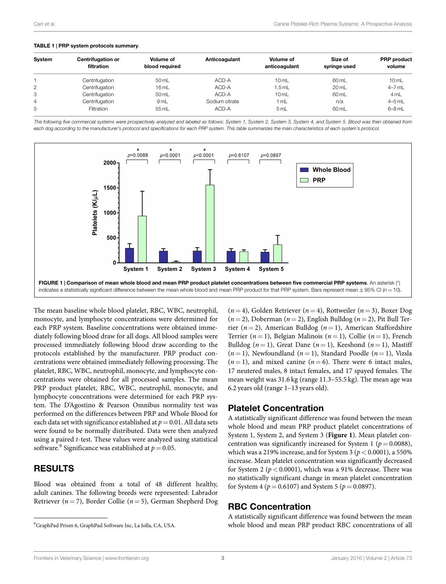#### <span id="page-2-0"></span>**TABLE 1 | PRP system protocols summary**.

| System | <b>Centrifugation or</b><br>filtration | Volume of<br>blood required | Anticoagulant  | Volume of<br>anticoagulant | Size of<br>syringe used | <b>PRP</b> product<br>volume |
|--------|----------------------------------------|-----------------------------|----------------|----------------------------|-------------------------|------------------------------|
|        | Centrifugation                         | 50 mL                       | ACD-A          | 10 <sub>m</sub>            | 60 mL                   | 10 <sub>m</sub>              |
| 2      | Centrifugation                         | 16mL                        | ACD-A          | $1.5$ mL                   | 20 mL                   | $4-7$ mL                     |
| 3      | Centrifugation                         | 50 mL                       | ACD-A          | 10 <sub>m</sub>            | 60 mL                   | 4 mL                         |
| 4      | Centrifugation                         | 9 <sub>mL</sub>             | Sodium citrate | 1 mL                       | n/a                     | $4-5$ mL                     |
| 5      | Filtration                             | 55 mL                       | ACD-A          | 5mL                        | 60 mL                   | $6 - 8$ mL                   |
|        |                                        |                             |                |                            |                         |                              |

*The following five commercial systems were prospectively analyzed and labeled as follows: System 1, System 2, System 3, System 4, and System 5. Blood was then obtained from each dog according to the manufacturer's protocol and specifications for each PRP system. This table summarizes the main characteristics of each system's protocol.*



<span id="page-2-2"></span>The mean baseline whole blood platelet, RBC, WBC, neutrophil, monocyte, and lymphocyte concentrations were determined for each PRP system. Baseline concentrations were obtained immediately following blood draw for all dogs. All blood samples were processed immediately following blood draw according to the protocols established by the manufacturer. PRP product concentrations were obtained immediately following processing. The platelet, RBC, WBC, neutrophil, monocyte, and lymphocyte concentrations were obtained for all processed samples. The mean PRP product platelet, RBC, WBC, neutrophil, monocyte, and lymphocyte concentrations were determined for each PRP system. The D'Agostino & Pearson Omnibus normality test was performed on the differences between PRP and Whole Blood for each data set with significance established at  $p = 0.01$ . All data sets were found to be normally distributed. Data were then analyzed using a paired *t*-test. These values were analyzed using statistical software. $^9$  $^9$  Significance was established at  $p=$  0.05.

# **RESULTS**

Blood was obtained from a total of 48 different healthy, adult canines. The following breeds were represented: Labrador Retriever (*n* = 7), Border Collie (*n* = 5), German Shepherd Dog (*n* = 4), Golden Retriever (*n* = 4), Rottweiler (*n* = 3), Boxer Dog  $(n=2)$ , Doberman  $(n=2)$ , English Bulldog  $(n=2)$ , Pit Bull Terrier (*n* = 2), American Bulldog (*n* = 1), American Staffordshire Terrier  $(n = 1)$ , Belgian Malinois  $(n = 1)$ , Collie  $(n = 1)$ , French Bulldog  $(n = 1)$ , Great Dane  $(n = 1)$ , Keeshond  $(n = 1)$ , Mastiff  $(n=1)$ , Newfoundland  $(n=1)$ , Standard Poodle  $(n=1)$ , Vizsla  $(n=1)$ , and mixed canine  $(n=6)$ . There were 6 intact males, 17 neutered males, 8 intact females, and 17 spayed females. The mean weight was 31.6 kg (range 11.3–55.5 kg). The mean age was 6.2 years old (range 1–13 years old).

### **Platelet Concentration**

A statistically significant difference was found between the mean whole blood and mean PRP product platelet concentrations of System 1, System 2, and System 3 (**[Figure 1](#page-2-2)**). Mean platelet concentration was significantly increased for System 1 ( $p = 0.0088$ ), which was a 219% increase, and for System 3 ( $p < 0.0001$ ), a 550% increase. Mean platelet concentration was significantly decreased for System 2 ( $p < 0.0001$ ), which was a 91% decrease. There was no statistically significant change in mean platelet concentration for System 4 ( $p = 0.6107$ ) and System 5 ( $p = 0.0897$ ).

### **RBC Concentration**

A statistically significant difference was found between the mean whole blood and mean PRP product RBC concentrations of all

<span id="page-2-1"></span><sup>9</sup>GraphPad Prism 6, GraphPad Software Inc, La Jolla, CA, USA.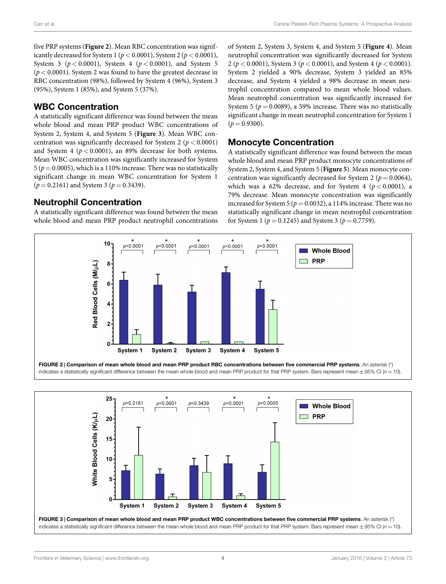five PRP systems (**[Figure 2](#page-3-0)**). Mean RBC concentration was significantly decreased for System 1 (*p <* 0.0001), System 2 (*p <* 0.0001), System 3 ( $p < 0.0001$ ), System 4 ( $p < 0.0001$ ), and System 5 (*p <* 0.0001). System 2 was found to have the greatest decrease in RBC concentration (98%), followed by System 4 (96%), System 3 (95%), System 1 (85%), and System 5 (37%).

## **WBC Concentration**

A statistically significant difference was found between the mean whole blood and mean PRP product WBC concentrations of System 2, System 4, and System 5 (**[Figure 3](#page-3-1)**). Mean WBC concentration was significantly decreased for System 2 ( $p < 0.0001$ ) and System 4 ( $p < 0.0001$ ), an 89% decrease for both systems. Mean WBC concentration was significantly increased for System 5 ( $p = 0.0005$ ), which is a 110% increase. There was no statistically significant change in mean WBC concentration for System 1  $(p = 0.2161)$  and System 3 ( $p = 0.3439$ ).

## **Neutrophil Concentration**

A statistically significant difference was found between the mean whole blood and mean PRP product neutrophil concentrations of System 2, System 3, System 4, and System 5 (**[Figure 4](#page-4-0)**). Mean neutrophil concentration was significantly decreased for System 2 (*p <* 0.0001), System 3 (*p <* 0.0001), and System 4 (*p <* 0.0001). System 2 yielded a 90% decrease, System 3 yielded an 85% decrease, and System 4 yielded a 98% decrease in mean neutrophil concentration compared to mean whole blood values. Mean neutrophil concentration was significantly increased for System 5 ( $p = 0.0089$ ), a 59% increase. There was no statistically significant change in mean neutrophil concentration for System 1  $(p = 0.9300)$ .

## **Monocyte Concentration**

A statistically significant difference was found between the mean whole blood and mean PRP product monocyte concentrations of System 2, System 4, and System 5 (**[Figure 5](#page-4-1)**). Mean monocyte concentration was significantly decreased for System 2 ( $p = 0.0064$ ), which was a 62% decrease, and for System 4 ( $p < 0.0001$ ), a 79% decrease. Mean monocyte concentration was significantly increased for System 5 ( $p = 0.0032$ ), a 114% increase. There was no statistically significant change in mean neutrophil concentration for System 1 ( $p = 0.1245$ ) and System 3 ( $p = 0.7759$ ).



<span id="page-3-0"></span>indicates a statistically significant difference between the mean whole blood and mean PRP product for that PRP system. Bars represent mean *±* 95% CI (*n* = 10).

<span id="page-3-1"></span>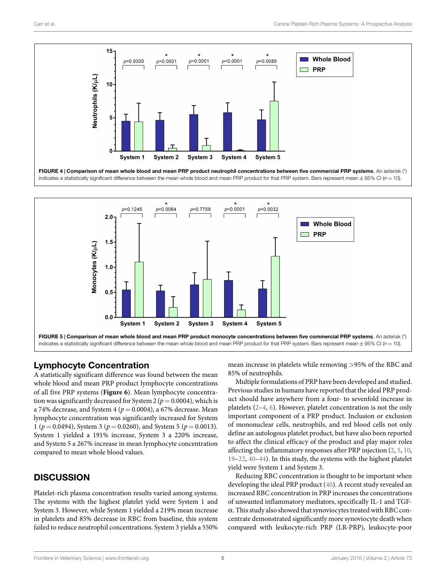

<span id="page-4-0"></span>

# <span id="page-4-1"></span>**Lymphocyte Concentration**

A statistically significant difference was found between the mean whole blood and mean PRP product lymphocyte concentrations of all five PRP systems (**[Figure 6](#page-5-0)**). Mean lymphocyte concentration was significantly decreased for System 2 ( $p = 0.0004$ ), which is a 74% decrease, and System 4 ( $p = 0.0004$ ), a 67% decrease. Mean lymphocyte concentration was significantly increased for System 1 ( $p = 0.0494$ ), System 3 ( $p = 0.0260$ ), and System 5 ( $p = 0.0013$ ). System 1 yielded a 191% increase, System 3 a 220% increase, and System 5 a 267% increase in mean lymphocyte concentration compared to mean whole blood values.

# **DISCUSSION**

Platelet-rich plasma concentration results varied among systems. The systems with the highest platelet yield were System 1 and System 3. However, while System 1 yielded a 219% mean increase in platelets and 85% decrease in RBC from baseline, this system failed to reduce neutrophil concentrations. System 3 yields a 550% mean increase in platelets while removing *>*95% of the RBC and 85% of neutrophils.

Multiple formulations of PRP have been developed and studied. Previous studies in humans have reported that the ideal PRP product should have anywhere from a four- to sevenfold increase in platelets [\(2–](#page-6-6)[4](#page-6-3), [6](#page-6-5)). However, platelet concentration is not the only important component of a PRP product. Inclusion or exclusion of mononuclear cells, neutrophils, and red blood cells not only define an autologous platelet product, but have also been reported to affect the clinical efficacy of the product and play major roles affecting the inflammatory responses after PRP injection([2,](#page-6-6) [5](#page-6-22), [10](#page-6-8), [19–](#page-6-10)[22,](#page-6-11) [40](#page-7-1)[–44](#page-7-2)). In this study, the systems with the highest platelet yield were System 1 and System 3.

Reducing RBC concentration is thought to be important when developing the ideal PRP product [\(40](#page-7-1)). A recent study revealed an increased RBC concentration in PRP increases the concentrations of unwanted inflammatory mediators, specifically IL-1 and TGFα. This study also showed that synoviocytes treated with RBC concentrate demonstrated significantly more synoviocyte death when compared with leukocyte-rich PRP (LR-PRP), leukocyte-poor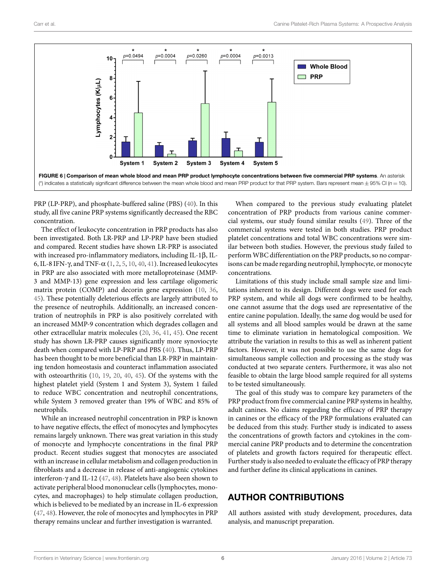

<span id="page-5-0"></span>PRP (LP-PRP), and phosphate-buffered saline (PBS) [\(40\)](#page-7-1). In this study, all five canine PRP systems significantly decreased the RBC concentration.

The effect of leukocyte concentration in PRP products has also been investigated. Both LR-PRP and LP-PRP have been studied and compared. Recent studies have shown LR-PRP is associated with increased pro-inflammatory mediators, including IL-1β, IL-6, IL-8 IFN-γ, and TNF-α [\(1,](#page-6-0) [2](#page-6-6), [5](#page-6-22), [10](#page-6-8), [40](#page-7-1), [41\)](#page-7-3). Increased leukocytes in PRP are also associated with more metalloproteinase (MMP-3 and MMP-13) gene expression and less cartilage oligomeric matrix protein (COMP) and decorin gene expression [\(10](#page-6-8), [36,](#page-6-23) [45](#page-7-8)). These potentially deleterious effects are largely attributed to the presence of neutrophils. Additionally, an increased concentration of neutrophils in PRP is also positively correlated with an increased MMP-9 concentration which degrades collagen and other extracellular matrix molecules [\(20,](#page-6-24) [36,](#page-6-23) [41](#page-7-3), [45](#page-7-8)). One recent study has shown LR-PRP causes significantly more synoviocyte death when compared with LP-PRP and PBS([40\)](#page-7-1). Thus, LP-PRP has been thought to be more beneficial than LR-PRP in maintaining tendon homeostasis and counteract inflammation associated with osteoarthritis [\(10](#page-6-8), [19,](#page-6-10) [20](#page-6-24), [40,](#page-7-1) [45](#page-7-8)). Of the systems with the highest platelet yield (System 1 and System 3), System 1 failed to reduce WBC concentration and neutrophil concentrations, while System 3 removed greater than 19% of WBC and 85% of neutrophils.

While an increased neutrophil concentration in PRP is known to have negative effects, the effect of monocytes and lymphocytes remains largely unknown. There was great variation in this study of monocyte and lymphocyte concentrations in the final PRP product. Recent studies suggest that monocytes are associated with an increase in cellular metabolism and collagen production in fibroblasts and a decrease in release of anti-angiogenic cytokines interferon-γ and IL-12([47,](#page-7-4) [48](#page-7-9)). Platelets have also been shown to activate peripheral blood mononuclear cells (lymphocytes, monocytes, and macrophages) to help stimulate collagen production, which is believed to be mediated by an increase in IL-6 expression [\(47](#page-7-4), [48\)](#page-7-9). However, the role of monocytes and lymphocytes in PRP therapy remains unclear and further investigation is warranted.

When compared to the previous study evaluating platelet concentration of PRP products from various canine commercial systems, our study found similar results([49\)](#page-7-5). Three of the commercial systems were tested in both studies. PRP product platelet concentrations and total WBC concentrations were similar between both studies. However, the previous study failed to perform WBC differentiation on the PRP products, so no comparisons can be made regarding neutrophil, lymphocyte, or monocyte concentrations.

Limitations of this study include small sample size and limitations inherent to its design. Different dogs were used for each PRP system, and while all dogs were confirmed to be healthy, one cannot assume that the dogs used are representative of the entire canine population. Ideally, the same dog would be used for all systems and all blood samples would be drawn at the same time to eliminate variation in hematological composition. We attribute the variation in results to this as well as inherent patient factors. However, it was not possible to use the same dogs for simultaneous sample collection and processing as the study was conducted at two separate centers. Furthermore, it was also not feasible to obtain the large blood sample required for all systems to be tested simultaneously.

The goal of this study was to compare key parameters of the PRP product from five commercial canine PRP systems in healthy, adult canines. No claims regarding the efficacy of PRP therapy in canines or the efficacy of the PRP formulations evaluated can be deduced from this study. Further study is indicated to assess the concentrations of growth factors and cytokines in the commercial canine PRP products and to determine the concentration of platelets and growth factors required for therapeutic effect. Further study is also needed to evaluate the efficacy of PRP therapy and further define its clinical applications in canines.

# **AUTHOR CONTRIBUTIONS**

All authors assisted with study development, procedures, data analysis, and manuscript preparation.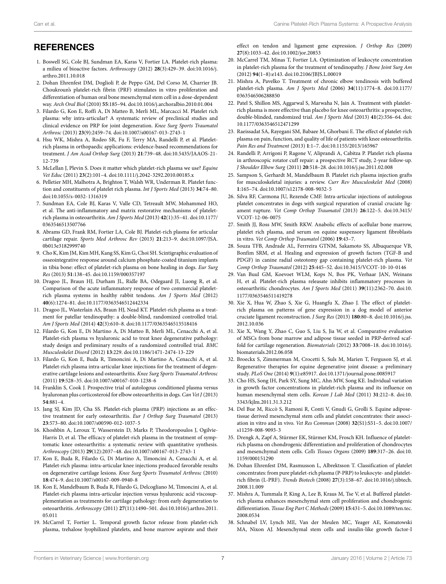# **REFERENCES**

- <span id="page-6-0"></span>1. Boswell SG, Cole BJ, Sundman EA, Karas V, Fortier LA. Platelet-rich plasma: a milieu of bioactive factors. *Arthroscopy* (2012) **28**(3):429–39. doi:[10.1016/j.](http://dx.doi.org/10.1016/j.arthro.2011.10.018) [arthro.2011.10.018](http://dx.doi.org/10.1016/j.arthro.2011.10.018)
- <span id="page-6-6"></span>2. Dohan Ehrenfest DM, Doglioli P, de Peppo GM, Del Corso M, Charrier JB. Choukroun's platelet-rich fibrin (PRF) stimulates in vitro proliferation and differentiation of human oral bone mesenchymal stem cell in a dose-dependent way. *Arch Oral Biol* (2010) **55**:185–94. doi:[10.1016/j.archoralbio.2010.01.004](http://dx.doi.org/10.1016/j.archoralbio.2010.01.004)
- <span id="page-6-2"></span>3. Filardo G, Kon E, Roffi A, Di Matteo B, Merli ML, Marcacci M. Platelet rich plasma: why intra-articular? A systematic review of preclinical studies and clinical evidence on PRP for joint degeneration. *Knee Surg Sports Traumatol Arthrosc* (2013) **23**(9):2459–74. doi[:10.1007/s00167-013-2743-1](http://dx.doi.org/10.1007/s00167-013-2743-1)
- <span id="page-6-3"></span>4. Hsu WK, Mishra A, Rodeo SR, Fu F, Terry MA, Randelli P, et al. Plateletrich plasma in orthopaedic applications: evidence-based recommendations for treatment. *J Am Acad Orthop Surg* (2013) **21**:739–48. doi:[10.5435/JAAOS-21-](http://dx.doi.org/10.5435/JAAOS-21-12-739) [12-739](http://dx.doi.org/10.5435/JAAOS-21-12-739)
- <span id="page-6-22"></span>5. McLellan J, Plevin S. Does it matter which platelet-rich plasma we use? *Equine Vet Educ* (2011) **23**(2):101–4. doi:[10.1111/j.2042-3292.2010.00185.x](http://dx.doi.org/10.1111/j.2042-3292.2010.00185.x)
- <span id="page-6-5"></span>6. Pelletier MH, Malhotra A, Brighton T, Walsh WR, Underman R. Platelet function and constituents of platelet rich plasma. *Int J Sports Med* (2013) **34**:74–80. doi[:10.1055/s-0032-1316319](http://dx.doi.org/10.1055/s-0032-1316319)
- <span id="page-6-1"></span>7. Sundman EA, Cole BJ, Karas V, Valle CD, Tetreault MW, Mohammed HO, et al. The anti-inflammatory and matrix restorative mechanisms of plateletrich plasma in osteoarthritis. *Am J Sports Med* (2013) **42**(1):35–41. doi[:10.1177/](http://dx.doi.org/10.1177/0363546513507766) [0363546513507766](http://dx.doi.org/10.1177/0363546513507766)
- <span id="page-6-7"></span>8. Abrams GD, Frank RM, Fortier LA, Cole BJ. Platelet-rich plasma for articular cartilage repair. *Sports Med Arthrosc Rev* (2013) **21**:213–9. doi[:10.1097/JSA.](http://dx.doi.org/10.1097/JSA.0b013e3182999740) [0b013e3182999740](http://dx.doi.org/10.1097/JSA.0b013e3182999740)
- 9. Cho K, Kim JM, Kim MH, Kang SS, Kim G, Choi SH. Scintigraphic evaluation of osseointegrative response around calcium phosphate-coated titanium implants in tibia bone: effect of platelet-rich plasma on bone healing in dogs. *Eur Surg Res* (2013) **51**:138–45. doi:[10.1159/000357197](http://dx.doi.org/10.1159/000357197)
- <span id="page-6-8"></span>10. Dragoo JL, Braun HJ, Durham JL, Ridle BA, Odegaard JI, Luong R, et al. Comparison of the acute inflammatory response of two commercial plateletrich plasma systems in healthy rabbit tendons. *Am J Sports Med* (2012) **40**(6):1274–81. doi[:10.1177/0363546512442334](http://dx.doi.org/10.1177/0363546512442334)
- <span id="page-6-14"></span>11. Dragoo JL, Wasterlain AS, Braun HJ, Nead KT. Platelet-rich plasma as a treatment for patellar tendinopathy: a double-blind, randomized controlled trial. *Am J Sports Med* (2014) **42**(3):610–8. doi[:10.1177/0363546513518416](http://dx.doi.org/10.1177/0363546513518416)
- <span id="page-6-19"></span>12. Filardo G, Kon E, Di Martino A, Di Matteo B, Merli ML, Cenacchi A, et al. Platelet-rich plasma vs hyaluronic acid to treat knee degenerative pathology: study design and preliminary results of a randomized controlled trial. *BMC Musculoskelet Disord* (2012) **13**:229. doi[:10.1186/1471-2474-13-229](http://dx.doi.org/10.1186/1471-2474-13-229)
- <span id="page-6-9"></span>13. Filardo G, Kon E, Buda R, Timoncini A, Di Martino A, Cenacchi A, et al. Platelet-rich plasma intra-articular knee injections for the treatment of degenerative cartilage lesions and osteoarthritis. *Knee Surg Sports Traumatol Arthrosc* (2011) **19**:528–35. doi[:10.1007/s00167-010-1238-6](http://dx.doi.org/10.1007/s00167-010-1238-6)
- 14. Franklin S, Cook J. Prospective trial of autologous conditioned plasma versus hyaluronan plus corticosteroid for elbow osteoarthritis in dogs. *Can Vet J* (2013) **54**:881–4.
- 15. Jang SJ, Kim JD, Cha SS. Platelet-rich plasma (PRP) injections as an effective treatment for early osteoarthritis. *Eur J Orthop Surg Traumatol* (2013) **23**:573–80. doi:[10.1007/s00590-012-1037-5](http://dx.doi.org/10.1007/s00590-012-1037-5)
- 16. Khoshbin A, Leroux T, Wasserstein D, Marks P, Theodoropoulos J, Ogilvie-Harris D, et al. The efficacy of platelet-rich plasma in the treatment of symptomatic knee osteoarthritis: a systematic review with quantitative synthesis. *Arthroscopy* (2013) **29**(12):2037–48. doi:[10.1007/s00167-013-2743-1](http://dx.doi.org/10.1007/s00167-013-2743-1)
- 17. Kon E, Buda R, Filardo G, Di Martino A, Timoncini A, Cenacchi A, et al. Platelet-rich plasma: intra-articular knee injections produced favorable results on degenerative cartilage lesions. *Knee Surg Sports Traumatol Arthrosc* (2010) **18**:474–9. doi[:10.1007/s00167-009-0940-8](http://dx.doi.org/10.1007/s00167-009-0940-8)
- <span id="page-6-20"></span>18. Kon E, Mandelbaum B, Buda R, Filardo G, Delcogliano M, Timoncini A, et al. Platelet-rich plasma intra-articular injection versus hyaluronic acid viscosupplementation as treatments for cartilage pathology: from early degeneration to osteoarthritis. *Arthroscopy* (2011) **27**(11):1490–501. doi:[10.1016/j.arthro.2011.](http://dx.doi.org/10.1016/j.arthro.2011.05.011) [05.011](http://dx.doi.org/10.1016/j.arthro.2011.05.011)
- <span id="page-6-10"></span>19. McCarrel T, Fortier L. Temporal growth factor release from platelet-rich plasma, trehalose lyophilized platelets, and bone marrow aspirate and their

effect on tendon and ligament gene expression. *J Orthop Res* (2009) **27**(8):1033–42. doi:[10.1002/jor.20853](http://dx.doi.org/10.1002/jor.20853)

- <span id="page-6-24"></span>20. McCarrel TM, Minas T, Fortier LA. Optimization of leukocyte concentration in platelet-rich plasma for the treatment of tendinopathy. *J Bone Joint Surg Am* (2012) **94**(1–8):e143. doi:[10.2106/JBJS.L.00019](http://dx.doi.org/10.2106/JBJS.L.00019)
- <span id="page-6-15"></span>21. Mishra A, Pavelko T. Treatment of chronic elbow tendinosis with buffered platelet-rich plasma. *Am J Sports Med* (2006) **34**(11):1774–8. doi:[10.1177/](http://dx.doi.org/10.1177/0363546506288850) [0363546506288850](http://dx.doi.org/10.1177/0363546506288850)
- <span id="page-6-11"></span>22. Patel S, Shillon MS, Aggarwal S, Marwaha N, Jain A. Treatment with plateletrich plasma is more effective than placebo for knee osteoarthritis: a prospective, double-blinded, randomized trial. *Am J Sports Med* (2013) **41**(2):356–64. doi: [10.1177/0363546512471299](http://dx.doi.org/10.1177/0363546512471299)
- <span id="page-6-21"></span>23. Raeissadat SA, Rayegani SM, Babaee M, Ghorbani E. The effect of platelet-rich plasma on pain, function, and quality of life of patients with knee osteoarthritis. *Pain Res and Treatment* (2013) **1**:1–7. doi:[10.1155/2013/165967](http://dx.doi.org/10.1155/2013/165967)
- <span id="page-6-16"></span>24. Randelli P, Arrigoni P, Ragone V, Aliprandi A, Cabitza P. Platelet rich plasma in arthroscopic rotator cuff repair: a prospective RCT study, 2-year follow-up. *J Shoulder Elbow Surg* (2011) **20**:518–28. doi[:10.1016/j.jse.2011.02.008](http://dx.doi.org/10.1016/j.jse.2011.02.008)
- 25. Sampson S, Gerhardt M, Mandelbaum B. Platelet rich plasma injection grafts for musculoskeletal injuries: a review. *Curr Rev Musculoskelet Med* (2008) **1**:165–74. doi:[10.1007/s12178-008-9032-5](http://dx.doi.org/10.1007/s12178-008-9032-5)
- <span id="page-6-12"></span>26. Silva RF, Carmona JU, Rezende CMF. Intra-articular injections of autologous platelet concentrates in dogs with surgical reparation of cranial cruciate ligament rupture. *Vet Comp Orthop Traumatol* (2013) **26**:122–5. doi:[10.3415/](http://dx.doi.org/10.3415/VCOT-12-06-0075) [VCOT-12-06-0075](http://dx.doi.org/10.3415/VCOT-12-06-0075)
- <span id="page-6-17"></span>27. Smith JJ, Ross MW, Smith RKW. Anabolic effects of acellular bone marrow, platelet rich plasma, and serum on equine suspensory ligament fibroblasts in vitro. *Vet Comp Orthop Traumatol* (2006) **19**:43–7.
- 28. Souza TFB, Andrade AL, Ferrreira GTNM, Sakamoto SS, Albuquerque VB, Bonfim SRM, et al. Healing and expression of growth factors (TGF-B and PDGF) in canine radial osteotomy gap containing platelet-rich plasma. *Vet Comp Orthop Traumatol* (2012) **25**:445–52. doi[:10.3415/VCOT-10-10-0146](http://dx.doi.org/10.3415/VCOT-10-10-0146)
- <span id="page-6-13"></span>29. Van Buul GM, Koevoet WLM, Kops N, Bos PK, Verhaar JAN, Weinans H, et al. Platelet-rich plasma releasate inhibits inflammatory processes in osteoarthritic chondrocytes. *Am J Sports Med* (2011) **39**(11):2362–70. doi[:10.](http://dx.doi.org/10.1177/0363546511419278) [1177/0363546511419278](http://dx.doi.org/10.1177/0363546511419278)
- <span id="page-6-18"></span>30. Xie X, Hua W, Zhao S, Xie G, Huangfu X, Zhao J. The effect of plateletrich plasma on patterns of gene expression in a dog model of anterior cruciate ligament reconstruction. *J Surg Res* (2013) **180**:80–8. doi:[10.1016/j.jss.](http://dx.doi.org/10.1016/j.jss.2012.10.036) [2012.10.036](http://dx.doi.org/10.1016/j.jss.2012.10.036)
- <span id="page-6-4"></span>31. Xie X, Wang Y, Zhao C, Guo S, Liu S, Jia W, et al. Comparative evaluation of MSCs from bone marrow and adipose tissue seeded in PRP-derived scaffold for cartilage regeneration. *Biomaterials* (2012) **33**:7008–18. doi[:10.1016/j.](http://dx.doi.org/10.1016/j.biomaterials.2012.06.058) [biomaterials.2012.06.058](http://dx.doi.org/10.1016/j.biomaterials.2012.06.058)
- 32. Broeckx S, Zimmerman M, Crocetti S, Suls M, Marien T, Ferguson SJ, et al. Regenerative therapies for equine degenerative joint disease: a preliminary study. *PLoS One* (2014) **9**(1):e85917. doi:[10.1371/journal.pone.0085917](http://dx.doi.org/10.1371/journal.pone.0085917)
- 33. Cho HS, Song IH, Park SY, Sung MC, Ahn MW, Song KE. Individual variation in growth factor concentrations in platelet-rich plasma and its influence on human mesenchymal stem cells. *Korean J Lab Med* (2011) **31**:212–8. doi[:10.](http://dx.doi.org/10.3343/kjlm.2011.31.3.212) [3343/kjlm.2011.31.3.212](http://dx.doi.org/10.3343/kjlm.2011.31.3.212)
- 34. Del Bue M, Riccò S, Ramoni R, Conti V, Gnudi G, Grolli S. Equine adiposetissue derived mesenchymal stem cells and platelet concentrates: their association in vitro and in vivo. *Vet Res Commun* (2008) **32**(S1):S51–5. doi:[10.1007/](http://dx.doi.org/10.1007/s11259-008-9093-3) [s11259-008-9093-3](http://dx.doi.org/10.1007/s11259-008-9093-3)
- 35. Drengk A, Zapf A, Stürmer EK, Stürmer KM, Frosch KH. Influence of plateletrich plasma on chondrogenic differentiation and proliferation of chondrocytes and mesenchymal stem cells. *Cells Tissues Organs* (2009) **189**:317–26. doi[:10.](http://dx.doi.org/10.1159/000151290) [1159/000151290](http://dx.doi.org/10.1159/000151290)
- <span id="page-6-23"></span>36. Dohan Ehrenfest DM, Rasmusson L, Albrektsson T. Classification of platelet concentrates: from pure platelet-rich plasma (P-PRP) to leukocyte- and plateletrich fibrin (L-PRF). *Trends Biotech* (2008) **27**(3):158–67. doi:[10.1016/j.tibtech.](http://dx.doi.org/10.1016/j.tibtech.2008.11.009) [2008.11.009](http://dx.doi.org/10.1016/j.tibtech.2008.11.009)
- 37. Mishra A, Tummala P, King A, Lee B, Kraus M, Tse V, et al. Buffered plateletrich plasma enhances mesenchymal stem cell proliferation and chondrogenic differentiation. *Tissue Eng Part C Methods* (2009) **15**:431–5. doi[:10.1089/ten.tec.](http://dx.doi.org/10.1089/ten.tec.2008.0534) [2008.0534](http://dx.doi.org/10.1089/ten.tec.2008.0534)
- 38. Schnabel LV, Lynch ME, Van der Meulen MC, Yeager AE, Komatowski MA, Nixon AJ. Mesenchymal stem cells and insulin-like growth factor-I